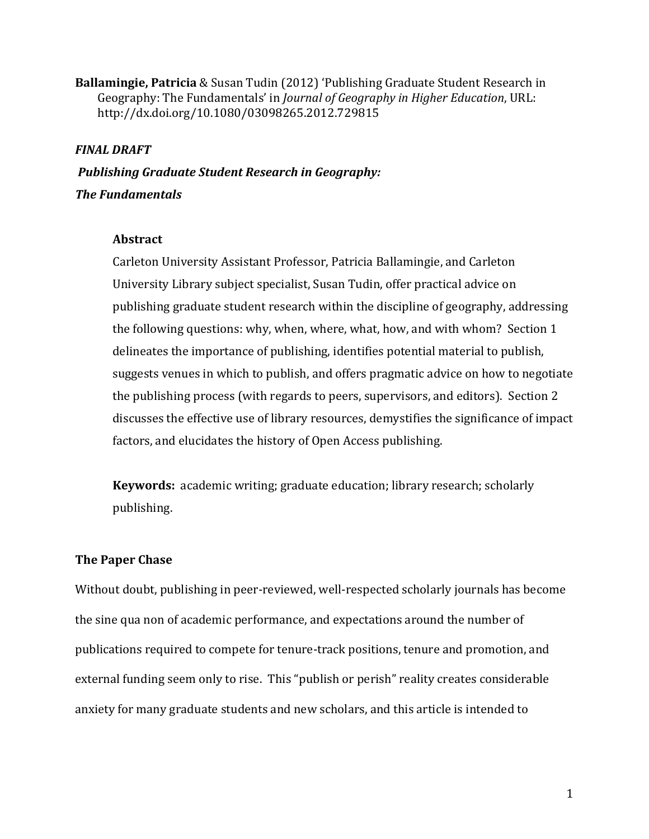**Ballamingie, Patricia** & Susan Tudin (2012) 'Publishing Graduate Student Research in Geography: The Fundamentals' in *Journal of Geography in Higher Education*, URL: http://dx.doi.org/10.1080/03098265.2012.729815

### *FINAL DRAFT*

*Publishing Graduate Student Research in Geography: The Fundamentals*

### **Abstract**

Carleton University Assistant Professor, Patricia Ballamingie, and Carleton University Library subject specialist, Susan Tudin, offer practical advice on publishing graduate student research within the discipline of geography, addressing the following questions: why, when, where, what, how, and with whom? Section 1 delineates the importance of publishing, identifies potential material to publish, suggests venues in which to publish, and offers pragmatic advice on how to negotiate the publishing process (with regards to peers, supervisors, and editors). Section 2 discusses the effective use of library resources, demystifies the significance of impact factors, and elucidates the history of Open Access publishing.

**Keywords:** academic writing; graduate education; library research; scholarly publishing.

### **The Paper Chase**

Without doubt, publishing in peer-reviewed, well-respected scholarly journals has become the sine qua non of academic performance, and expectations around the number of publications required to compete for tenure-track positions, tenure and promotion, and external funding seem only to rise. This "publish or perish" reality creates considerable anxiety for many graduate students and new scholars, and this article is intended to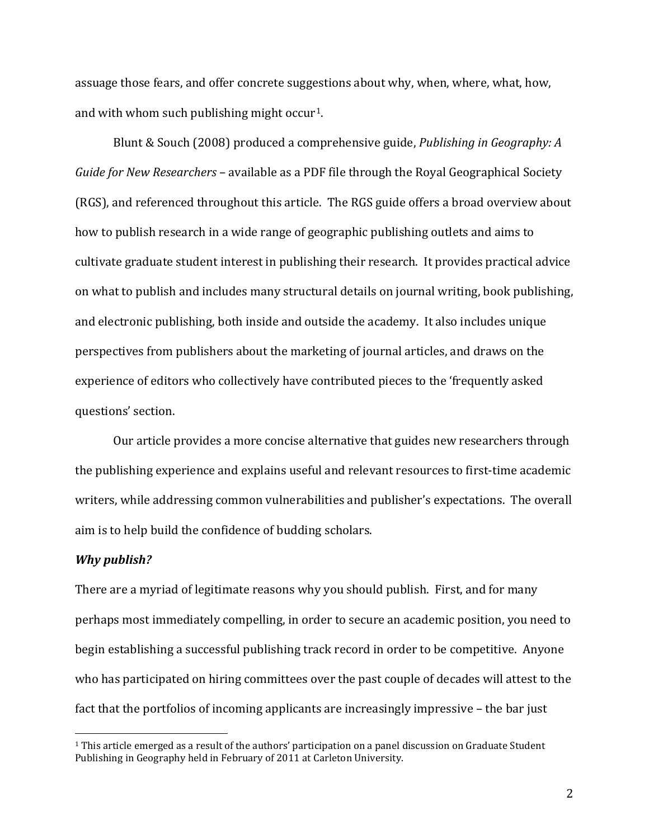assuage those fears, and offer concrete suggestions about why, when, where, what, how, and with whom such publishing might occur<sup>1</sup>.

Blunt & Souch (2008) produced a comprehensive guide, *Publishing in Geography: A Guide for New Researchers* – available as a PDF file through the Royal Geographical Society (RGS), and referenced throughout this article. The RGS guide offers a broad overview about how to publish research in a wide range of geographic publishing outlets and aims to cultivate graduate student interest in publishing their research. It provides practical advice on what to publish and includes many structural details on journal writing, book publishing, and electronic publishing, both inside and outside the academy. It also includes unique perspectives from publishers about the marketing of journal articles, and draws on the experience of editors who collectively have contributed pieces to the 'frequently asked questions' section.

Our article provides a more concise alternative that guides new researchers through the publishing experience and explains useful and relevant resources to first-time academic writers, while addressing common vulnerabilities and publisher's expectations. The overall aim is to help build the confidence of budding scholars.

### *Why publish?*

There are a myriad of legitimate reasons why you should publish. First, and for many perhaps most immediately compelling, in order to secure an academic position, you need to begin establishing a successful publishing track record in order to be competitive. Anyone who has participated on hiring committees over the past couple of decades will attest to the fact that the portfolios of incoming applicants are increasingly impressive – the bar just

<span id="page-1-0"></span> $1$  This article emerged as a result of the authors' participation on a panel discussion on Graduate Student Publishing in Geography held in February of 2011 at Carleton University.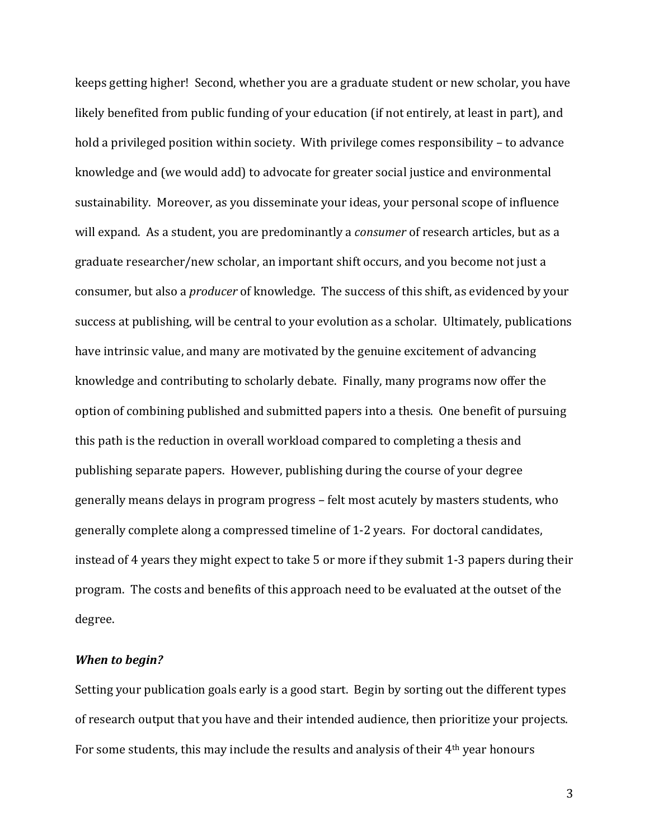keeps getting higher! Second, whether you are a graduate student or new scholar, you have likely benefited from public funding of your education (if not entirely, at least in part), and hold a privileged position within society. With privilege comes responsibility – to advance knowledge and (we would add) to advocate for greater social justice and environmental sustainability. Moreover, as you disseminate your ideas, your personal scope of influence will expand. As a student, you are predominantly a *consumer* of research articles, but as a graduate researcher/new scholar, an important shift occurs, and you become not just a consumer, but also a *producer* of knowledge. The success of this shift, as evidenced by your success at publishing, will be central to your evolution as a scholar. Ultimately, publications have intrinsic value, and many are motivated by the genuine excitement of advancing knowledge and contributing to scholarly debate. Finally, many programs now offer the option of combining published and submitted papers into a thesis. One benefit of pursuing this path is the reduction in overall workload compared to completing a thesis and publishing separate papers. However, publishing during the course of your degree generally means delays in program progress – felt most acutely by masters students, who generally complete along a compressed timeline of 1-2 years. For doctoral candidates, instead of 4 years they might expect to take 5 or more if they submit 1-3 papers during their program. The costs and benefits of this approach need to be evaluated at the outset of the degree.

### *When to begin?*

Setting your publication goals early is a good start. Begin by sorting out the different types of research output that you have and their intended audience, then prioritize your projects. For some students, this may include the results and analysis of their 4th year honours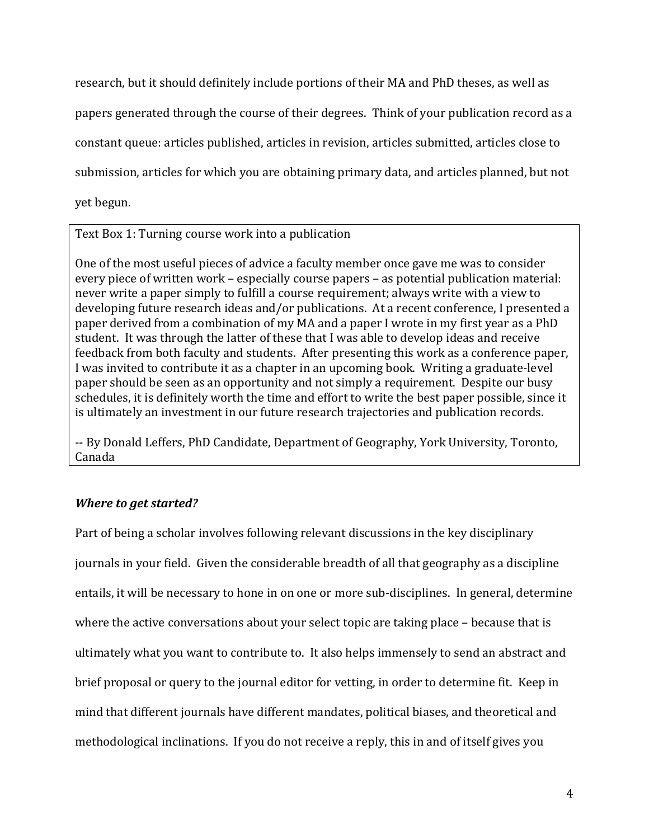research, but it should definitely include portions of their MA and PhD theses, as well as papers generated through the course of their degrees. Think of your publication record as a constant queue: articles published, articles in revision, articles submitted, articles close to submission, articles for which you are obtaining primary data, and articles planned, but not yet begun.

Text Box 1: Turning course work into a publication

One of the most useful pieces of advice a faculty member once gave me was to consider every piece of written work – especially course papers – as potential publication material: never write a paper simply to fulfill a course requirement; always write with a view to developing future research ideas and/or publications. At a recent conference, I presented a paper derived from a combination of my MA and a paper I wrote in my first year as a PhD student. It was through the latter of these that I was able to develop ideas and receive feedback from both faculty and students. After presenting this work as a conference paper, I was invited to contribute it as a chapter in an upcoming book. Writing a graduate-level paper should be seen as an opportunity and not simply a requirement. Despite our busy schedules, it is definitely worth the time and effort to write the best paper possible, since it is ultimately an investment in our future research trajectories and publication records.

-- By Donald Leffers, PhD Candidate, Department of Geography, York University, Toronto, Canada

# *Where to get started?*

Part of being a scholar involves following relevant discussions in the key disciplinary journals in your field. Given the considerable breadth of all that geography as a discipline entails, it will be necessary to hone in on one or more sub-disciplines. In general, determine where the active conversations about your select topic are taking place – because that is ultimately what you want to contribute to. It also helps immensely to send an abstract and brief proposal or query to the journal editor for vetting, in order to determine fit. Keep in mind that different journals have different mandates, political biases, and theoretical and methodological inclinations. If you do not receive a reply, this in and of itself gives you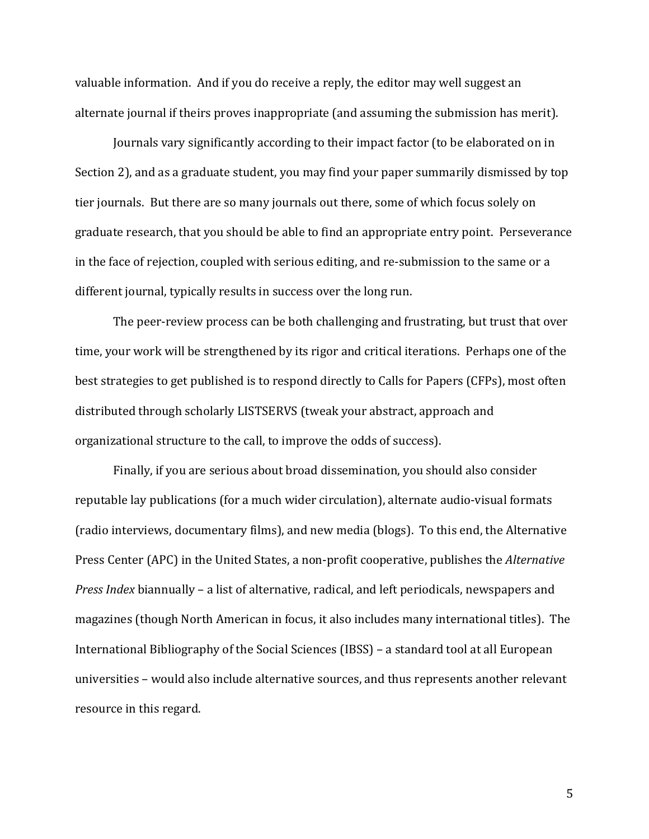valuable information. And if you do receive a reply, the editor may well suggest an alternate journal if theirs proves inappropriate (and assuming the submission has merit).

Journals vary significantly according to their impact factor (to be elaborated on in Section 2), and as a graduate student, you may find your paper summarily dismissed by top tier journals. But there are so many journals out there, some of which focus solely on graduate research, that you should be able to find an appropriate entry point. Perseverance in the face of rejection, coupled with serious editing, and re-submission to the same or a different journal, typically results in success over the long run.

The peer-review process can be both challenging and frustrating, but trust that over time, your work will be strengthened by its rigor and critical iterations. Perhaps one of the best strategies to get published is to respond directly to Calls for Papers (CFPs), most often distributed through scholarly LISTSERVS (tweak your abstract, approach and organizational structure to the call, to improve the odds of success).

Finally, if you are serious about broad dissemination, you should also consider reputable lay publications (for a much wider circulation), alternate audio-visual formats (radio interviews, documentary films), and new media (blogs). To this end, the Alternative Press Center (APC) in the United States, a non-profit cooperative, publishes the *Alternative Press Index* biannually – a list of alternative, radical, and left periodicals, newspapers and magazines (though North American in focus, it also includes many international titles). The International Bibliography of the Social Sciences (IBSS) – a standard tool at all European universities – would also include alternative sources, and thus represents another relevant resource in this regard.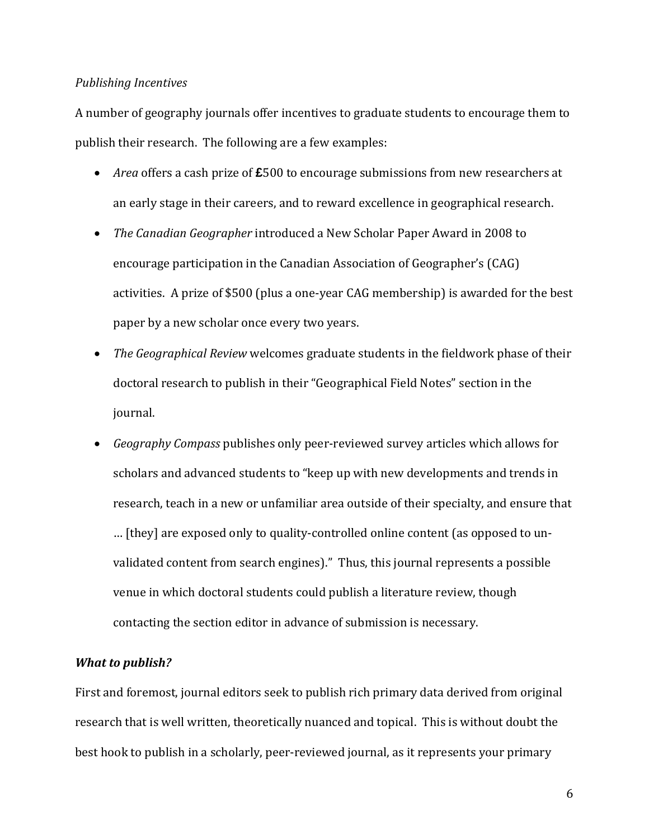### *Publishing Incentives*

A number of geography journals offer incentives to graduate students to encourage them to publish their research. The following are a few examples:

- *Area* offers a cash prize of **£**500 to encourage submissions from new researchers at an early stage in their careers, and to reward excellence in geographical research.
- *The Canadian Geographer* introduced a New Scholar Paper Award in 2008 to encourage participation in the Canadian Association of Geographer's (CAG) activities. A prize of \$500 (plus a one-year CAG membership) is awarded for the best paper by a new scholar once every two years.
- *The Geographical Review* welcomes graduate students in the fieldwork phase of their doctoral research to publish in their "Geographical Field Notes" section in the journal.
- *Geography Compass* publishes only peer-reviewed survey articles which allows for scholars and advanced students to "keep up with new developments and trends in research, teach in a new or unfamiliar area outside of their specialty, and ensure that … [they] are exposed only to quality-controlled online content (as opposed to unvalidated content from search engines)." Thus, this journal represents a possible venue in which doctoral students could publish a literature review, though contacting the section editor in advance of submission is necessary.

#### *What to publish?*

First and foremost, journal editors seek to publish rich primary data derived from original research that is well written, theoretically nuanced and topical. This is without doubt the best hook to publish in a scholarly, peer-reviewed journal, as it represents your primary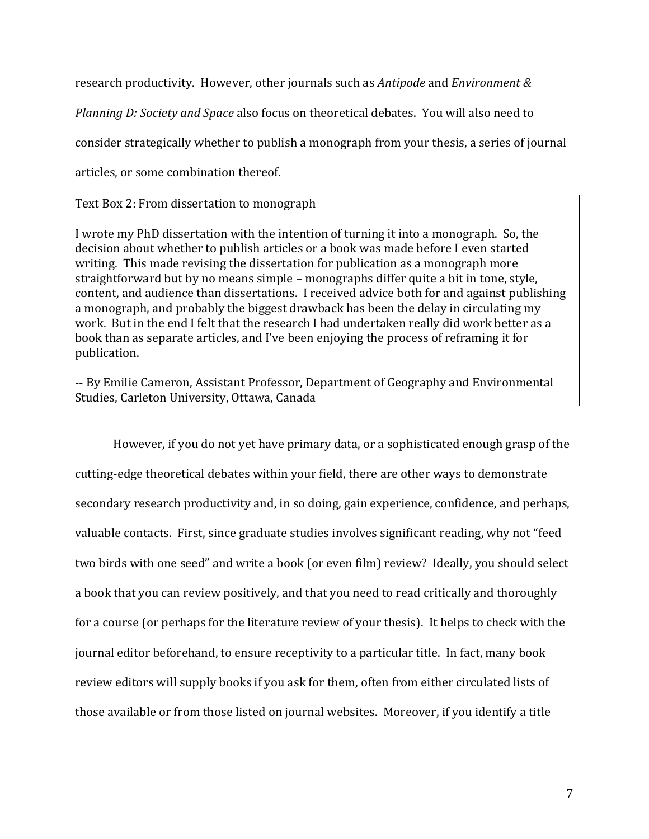research productivity. However, other journals such as *Antipode* and *Environment & Planning D: Society and Space* also focus on theoretical debates. You will also need to consider strategically whether to publish a monograph from your thesis, a series of journal articles, or some combination thereof.

### Text Box 2: From dissertation to monograph

I wrote my PhD dissertation with the intention of turning it into a monograph. So, the decision about whether to publish articles or a book was made before I even started writing. This made revising the dissertation for publication as a monograph more straightforward but by no means simple – monographs differ quite a bit in tone, style, content, and audience than dissertations. I received advice both for and against publishing a monograph, and probably the biggest drawback has been the delay in circulating my work. But in the end I felt that the research I had undertaken really did work better as a book than as separate articles, and I've been enjoying the process of reframing it for publication.

-- By Emilie Cameron, Assistant Professor, Department of Geography and Environmental Studies, Carleton University, Ottawa, Canada

However, if you do not yet have primary data, or a sophisticated enough grasp of the cutting-edge theoretical debates within your field, there are other ways to demonstrate secondary research productivity and, in so doing, gain experience, confidence, and perhaps, valuable contacts. First, since graduate studies involves significant reading, why not "feed two birds with one seed" and write a book (or even film) review? Ideally, you should select a book that you can review positively, and that you need to read critically and thoroughly for a course (or perhaps for the literature review of your thesis). It helps to check with the journal editor beforehand, to ensure receptivity to a particular title. In fact, many book review editors will supply books if you ask for them, often from either circulated lists of those available or from those listed on journal websites. Moreover, if you identify a title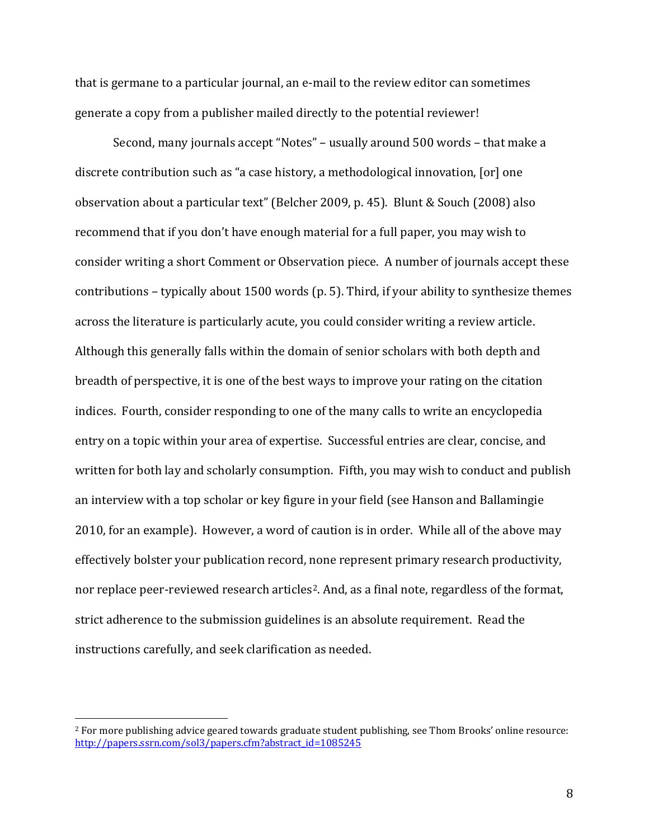that is germane to a particular journal, an e-mail to the review editor can sometimes generate a copy from a publisher mailed directly to the potential reviewer!

Second, many journals accept "Notes" – usually around 500 words – that make a discrete contribution such as "a case history, a methodological innovation, [or] one observation about a particular text" (Belcher 2009, p. 45). Blunt & Souch (2008) also recommend that if you don't have enough material for a full paper, you may wish to consider writing a short Comment or Observation piece. A number of journals accept these contributions – typically about 1500 words (p. 5). Third, if your ability to synthesize themes across the literature is particularly acute, you could consider writing a review article. Although this generally falls within the domain of senior scholars with both depth and breadth of perspective, it is one of the best ways to improve your rating on the citation indices. Fourth, consider responding to one of the many calls to write an encyclopedia entry on a topic within your area of expertise. Successful entries are clear, concise, and written for both lay and scholarly consumption. Fifth, you may wish to conduct and publish an interview with a top scholar or key figure in your field (see Hanson and Ballamingie 2010, for an example). However, a word of caution is in order. While all of the above may effectively bolster your publication record, none represent primary research productivity, nor replace peer-reviewed research articles<sup>2</sup>. And, as a final note, regardless of the format, strict adherence to the submission guidelines is an absolute requirement. Read the instructions carefully, and seek clarification as needed.

<span id="page-7-0"></span> <sup>2</sup> For more publishing advice geared towards graduate student publishing, see Thom Brooks' online resource: [http://papers.ssrn.com/sol3/papers.cfm?abstract\\_id=1085245](http://papers.ssrn.com/sol3/papers.cfm?abstract_id=1085245)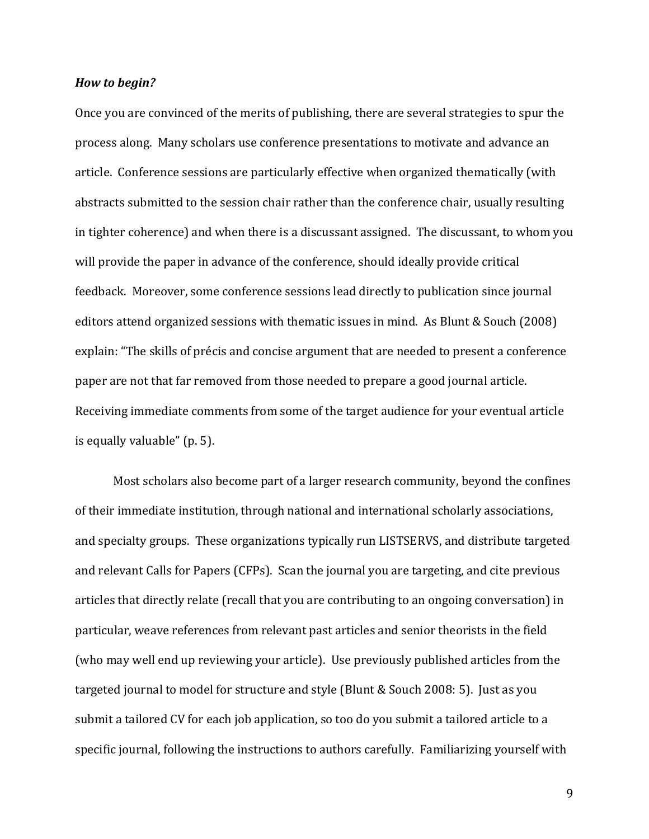#### *How to begin?*

Once you are convinced of the merits of publishing, there are several strategies to spur the process along. Many scholars use conference presentations to motivate and advance an article. Conference sessions are particularly effective when organized thematically (with abstracts submitted to the session chair rather than the conference chair, usually resulting in tighter coherence) and when there is a discussant assigned. The discussant, to whom you will provide the paper in advance of the conference, should ideally provide critical feedback. Moreover, some conference sessions lead directly to publication since journal editors attend organized sessions with thematic issues in mind. As Blunt & Souch (2008) explain: "The skills of précis and concise argument that are needed to present a conference paper are not that far removed from those needed to prepare a good journal article. Receiving immediate comments from some of the target audience for your eventual article is equally valuable" (p. 5).

Most scholars also become part of a larger research community, beyond the confines of their immediate institution, through national and international scholarly associations, and specialty groups. These organizations typically run LISTSERVS, and distribute targeted and relevant Calls for Papers (CFPs). Scan the journal you are targeting, and cite previous articles that directly relate (recall that you are contributing to an ongoing conversation) in particular, weave references from relevant past articles and senior theorists in the field (who may well end up reviewing your article). Use previously published articles from the targeted journal to model for structure and style (Blunt & Souch 2008: 5). Just as you submit a tailored CV for each job application, so too do you submit a tailored article to a specific journal, following the instructions to authors carefully. Familiarizing yourself with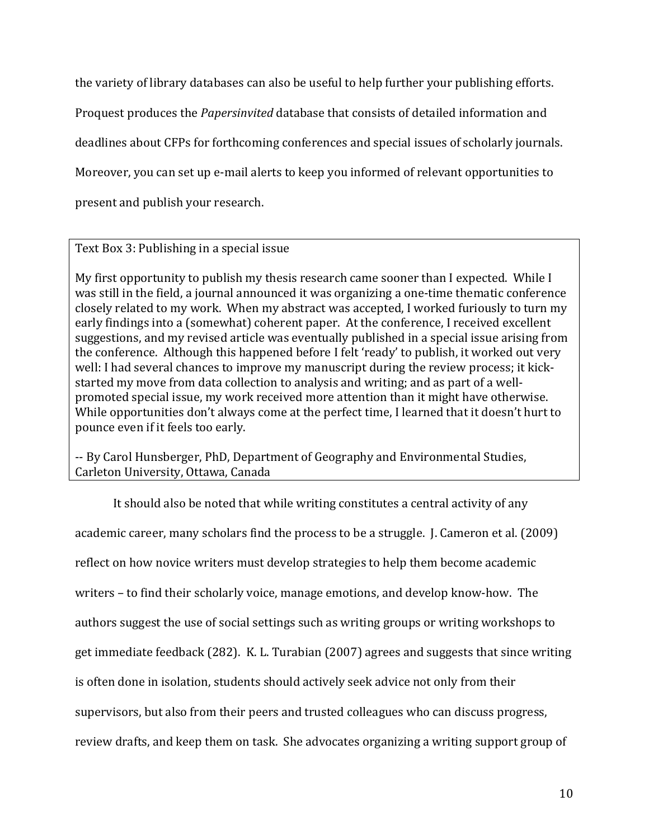the variety of library databases can also be useful to help further your publishing efforts. Proquest produces the *Papersinvited* database that consists of detailed information and deadlines about CFPs for forthcoming conferences and special issues of scholarly journals. Moreover, you can set up e-mail alerts to keep you informed of relevant opportunities to present and publish your research.

Text Box 3: Publishing in a special issue

My first opportunity to publish my thesis research came sooner than I expected. While I was still in the field, a journal announced it was organizing a one-time thematic conference closely related to my work. When my abstract was accepted, I worked furiously to turn my early findings into a (somewhat) coherent paper. At the conference, I received excellent suggestions, and my revised article was eventually published in a special issue arising from the conference. Although this happened before I felt 'ready' to publish, it worked out very well: I had several chances to improve my manuscript during the review process; it kickstarted my move from data collection to analysis and writing; and as part of a wellpromoted special issue, my work received more attention than it might have otherwise. While opportunities don't always come at the perfect time, I learned that it doesn't hurt to pounce even if it feels too early.

-- By Carol Hunsberger, PhD, Department of Geography and Environmental Studies, Carleton University, Ottawa, Canada

It should also be noted that while writing constitutes a central activity of any academic career, many scholars find the process to be a struggle. J. Cameron et al. (2009) reflect on how novice writers must develop strategies to help them become academic writers – to find their scholarly voice, manage emotions, and develop know-how. The authors suggest the use of social settings such as writing groups or writing workshops to get immediate feedback (282). K. L. Turabian (2007) agrees and suggests that since writing is often done in isolation, students should actively seek advice not only from their supervisors, but also from their peers and trusted colleagues who can discuss progress, review drafts, and keep them on task. She advocates organizing a writing support group of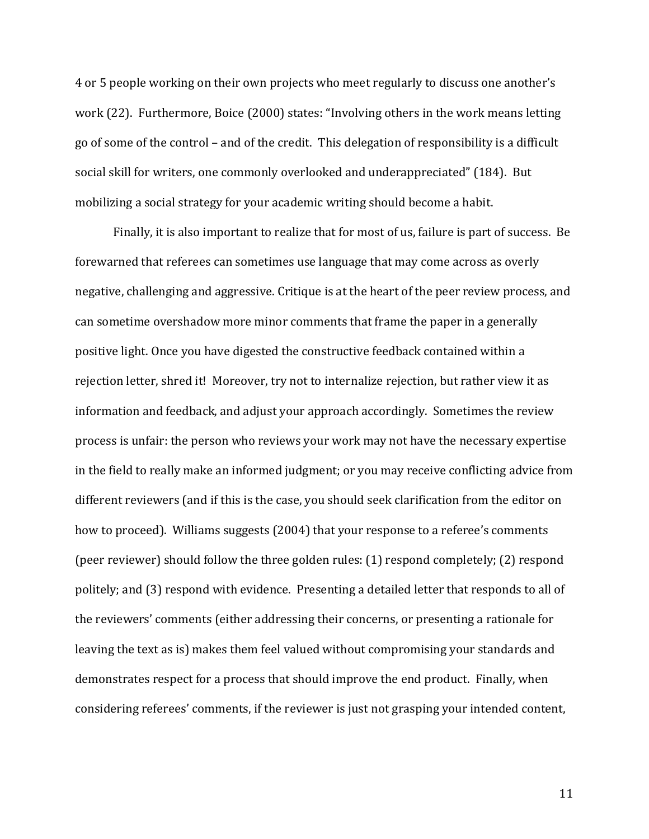4 or 5 people working on their own projects who meet regularly to discuss one another's work (22). Furthermore, Boice (2000) states: "Involving others in the work means letting go of some of the control – and of the credit. This delegation of responsibility is a difficult social skill for writers, one commonly overlooked and underappreciated" (184). But mobilizing a social strategy for your academic writing should become a habit.

Finally, it is also important to realize that for most of us, failure is part of success. Be forewarned that referees can sometimes use language that may come across as overly negative, challenging and aggressive. Critique is at the heart of the peer review process, and can sometime overshadow more minor comments that frame the paper in a generally positive light. Once you have digested the constructive feedback contained within a rejection letter, shred it! Moreover, try not to internalize rejection, but rather view it as information and feedback, and adjust your approach accordingly. Sometimes the review process is unfair: the person who reviews your work may not have the necessary expertise in the field to really make an informed judgment; or you may receive conflicting advice from different reviewers (and if this is the case, you should seek clarification from the editor on how to proceed). Williams suggests (2004) that your response to a referee's comments (peer reviewer) should follow the three golden rules: (1) respond completely; (2) respond politely; and (3) respond with evidence. Presenting a detailed letter that responds to all of the reviewers' comments (either addressing their concerns, or presenting a rationale for leaving the text as is) makes them feel valued without compromising your standards and demonstrates respect for a process that should improve the end product. Finally, when considering referees' comments, if the reviewer is just not grasping your intended content,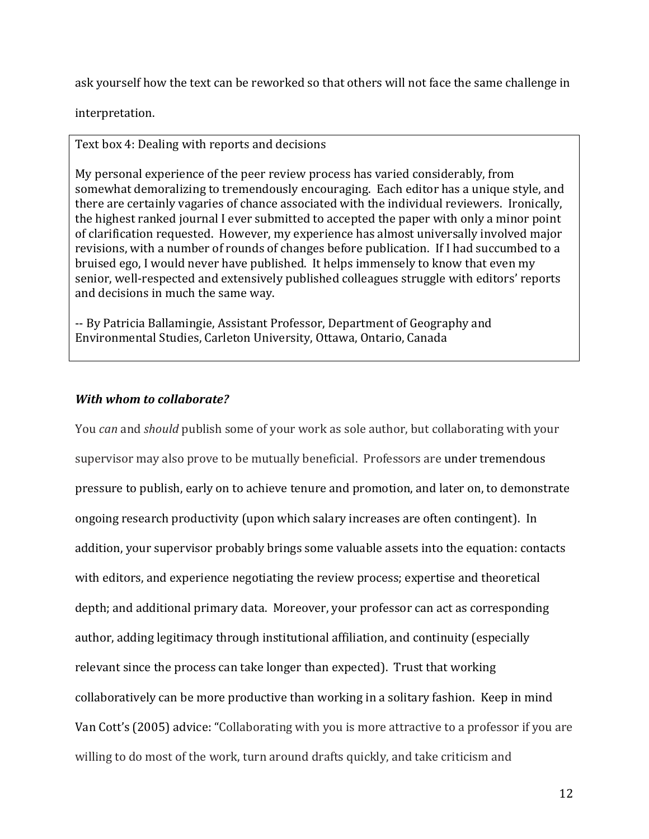ask yourself how the text can be reworked so that others will not face the same challenge in

interpretation.

Text box 4: Dealing with reports and decisions

My personal experience of the peer review process has varied considerably, from somewhat demoralizing to tremendously encouraging. Each editor has a unique style, and there are certainly vagaries of chance associated with the individual reviewers. Ironically, the highest ranked journal I ever submitted to accepted the paper with only a minor point of clarification requested. However, my experience has almost universally involved major revisions, with a number of rounds of changes before publication. If I had succumbed to a bruised ego, I would never have published. It helps immensely to know that even my senior, well-respected and extensively published colleagues struggle with editors' reports and decisions in much the same way.

-- By Patricia Ballamingie, Assistant Professor, Department of Geography and Environmental Studies, Carleton University, Ottawa, Ontario, Canada

# *With whom to collaborate?*

You *can* and *should* publish some of your work as sole author, but collaborating with your supervisor may also prove to be mutually beneficial. Professors are under tremendous pressure to publish, early on to achieve tenure and promotion, and later on, to demonstrate ongoing research productivity (upon which salary increases are often contingent). In addition, your supervisor probably brings some valuable assets into the equation: contacts with editors, and experience negotiating the review process; expertise and theoretical depth; and additional primary data. Moreover, your professor can act as corresponding author, adding legitimacy through institutional affiliation, and continuity (especially relevant since the process can take longer than expected). Trust that working collaboratively can be more productive than working in a solitary fashion. Keep in mind Van Cott's (2005) advice: "Collaborating with you is more attractive to a professor if you are willing to do most of the work, turn around drafts quickly, and take criticism and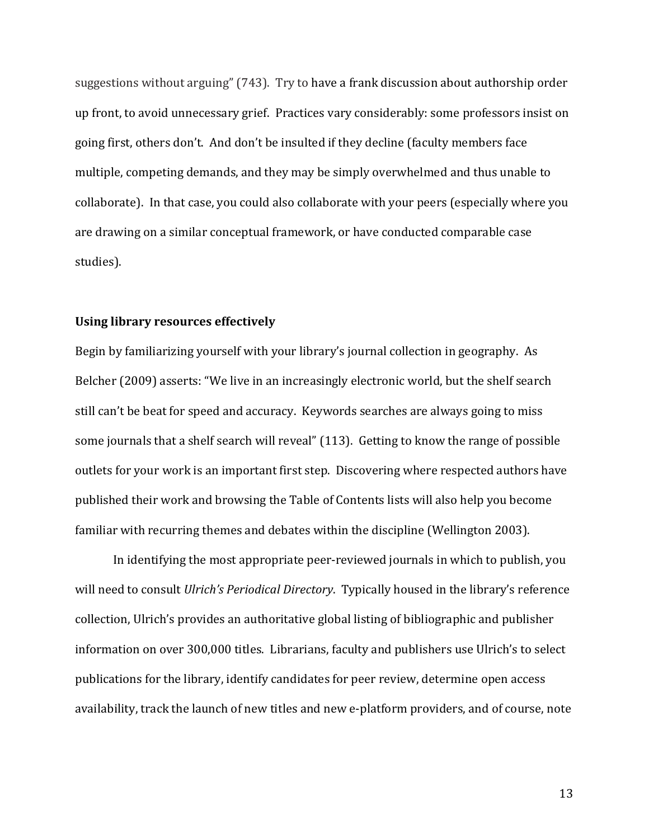suggestions without arguing" (743). Try to have a frank discussion about authorship order up front, to avoid unnecessary grief. Practices vary considerably: some professors insist on going first, others don't. And don't be insulted if they decline (faculty members face multiple, competing demands, and they may be simply overwhelmed and thus unable to collaborate). In that case, you could also collaborate with your peers (especially where you are drawing on a similar conceptual framework, or have conducted comparable case studies).

#### **Using library resources effectively**

Begin by familiarizing yourself with your library's journal collection in geography. As Belcher (2009) asserts: "We live in an increasingly electronic world, but the shelf search still can't be beat for speed and accuracy. Keywords searches are always going to miss some journals that a shelf search will reveal" (113). Getting to know the range of possible outlets for your work is an important first step. Discovering where respected authors have published their work and browsing the Table of Contents lists will also help you become familiar with recurring themes and debates within the discipline (Wellington 2003).

In identifying the most appropriate peer-reviewed journals in which to publish, you will need to consult *Ulrich's Periodical Directory*. Typically housed in the library's reference collection, Ulrich's provides an authoritative global listing of bibliographic and publisher information on over 300,000 titles. Librarians, faculty and publishers use Ulrich's to select publications for the library, identify candidates for peer review, determine open access availability, track the launch of new titles and new e-platform providers, and of course, note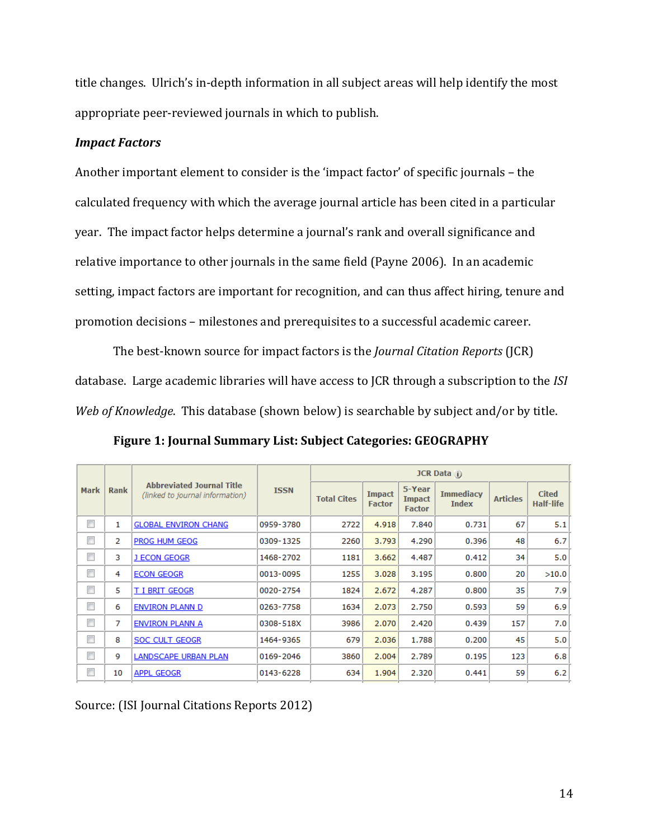title changes. Ulrich's in-depth information in all subject areas will help identify the most appropriate peer-reviewed journals in which to publish.

## *Impact Factors*

Another important element to consider is the 'impact factor' of specific journals – the calculated frequency with which the average journal article has been cited in a particular year. The impact factor helps determine a journal's rank and overall significance and relative importance to other journals in the same field (Payne 2006). In an academic setting, impact factors are important for recognition, and can thus affect hiring, tenure and promotion decisions – milestones and prerequisites to a successful academic career.

The best-known source for impact factors is the *Journal Citation Reports* (JCR) database. Large academic libraries will have access to JCR through a subscription to the *ISI Web of Knowledge*. This database (shown below) is searchable by subject and/or by title.

**Figure 1: Journal Summary List: Subject Categories: GEOGRAPHY**

| <b>Mark</b>    | <b>Rank</b> | <b>Abbreviated Journal Title</b><br>(linked to journal information) | <b>ISSN</b> | <b>JCR Data</b> (i) |                                |                                          |                                  |                 |                           |
|----------------|-------------|---------------------------------------------------------------------|-------------|---------------------|--------------------------------|------------------------------------------|----------------------------------|-----------------|---------------------------|
|                |             |                                                                     |             | <b>Total Cites</b>  | <b>Impact</b><br><b>Factor</b> | 5-Year<br><b>Impact</b><br><b>Factor</b> | <b>Immediacy</b><br><b>Index</b> | <b>Articles</b> | <b>Cited</b><br>Half-life |
| $\blacksquare$ | 1           | <b>GLOBAL ENVIRON CHANG</b>                                         | 0959-3780   | 2722                | 4.918                          | 7.840                                    | 0.731                            | 67              | 5.1                       |
| $\Box$         | 2           | <b>PROG HUM GEOG</b>                                                | 0309-1325   | 2260                | 3.793                          | 4.290                                    | 0.396                            | 48              | 6.7                       |
| $\Box$         | 3           | J ECON GEOGR                                                        | 1468-2702   | 1181                | 3.662                          | 4.487                                    | 0.412                            | 34              | 5.0                       |
| $\Box$         | 4           | <b>ECON GEOGR</b>                                                   | 0013-0095   | 1255                | 3.028                          | 3.195                                    | 0.800                            | 20              | >10.0                     |
| $\blacksquare$ | 5           | T I BRIT GEOGR                                                      | 0020-2754   | 1824                | 2.672                          | 4.287                                    | 0.800                            | 35              | 7.9                       |
| $\Box$         | 6           | <b>ENVIRON PLANN D</b>                                              | 0263-7758   | 1634                | 2.073                          | 2.750                                    | 0.593                            | 59              | 6.9                       |
| П              | 7           | <b>ENVIRON PLANN A</b>                                              | 0308-518X   | 3986                | 2.070                          | 2.420                                    | 0.439                            | 157             | 7.0                       |
| П              | 8           | <b>SOC CULT GEOGR</b>                                               | 1464-9365   | 679                 | 2.036                          | 1.788                                    | 0.200                            | 45              | 5.0                       |
| $\Box$         | 9           | <b>LANDSCAPE URBAN PLAN</b>                                         | 0169-2046   | 3860                | 2.004                          | 2.789                                    | 0.195                            | 123             | 6.8                       |
| $\Box$         | 10          | <b>APPL GEOGR</b>                                                   | 0143-6228   | 634                 | 1.904                          | 2.320                                    | 0.441                            | 59              | 6.2                       |
|                |             |                                                                     |             |                     |                                |                                          |                                  |                 |                           |

Source: (ISI Journal Citations Reports 2012)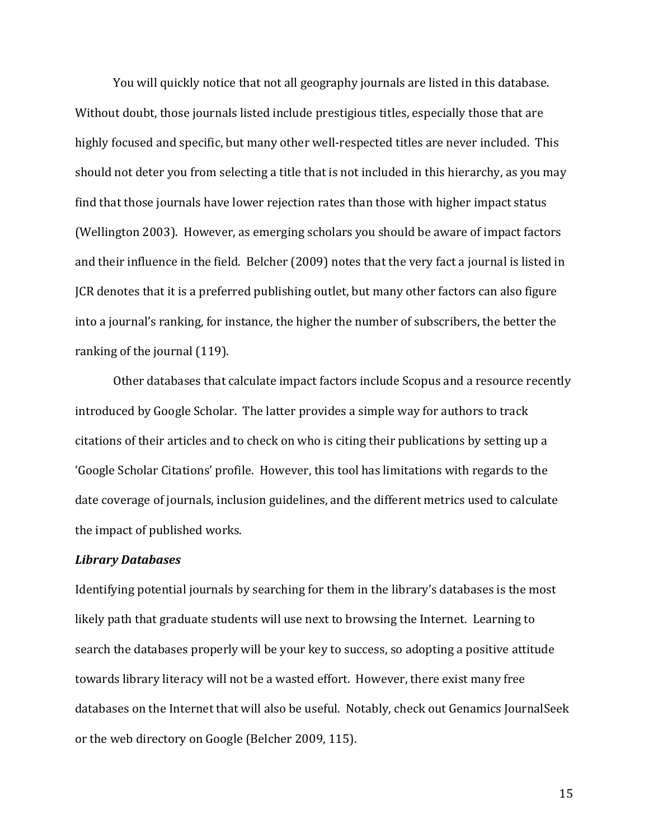You will quickly notice that not all geography journals are listed in this database. Without doubt, those journals listed include prestigious titles, especially those that are highly focused and specific, but many other well-respected titles are never included. This should not deter you from selecting a title that is not included in this hierarchy, as you may find that those journals have lower rejection rates than those with higher impact status (Wellington 2003). However, as emerging scholars you should be aware of impact factors and their influence in the field. Belcher (2009) notes that the very fact a journal is listed in JCR denotes that it is a preferred publishing outlet, but many other factors can also figure into a journal's ranking, for instance, the higher the number of subscribers, the better the ranking of the journal (119).

Other databases that calculate impact factors include Scopus and a resource recently introduced by Google Scholar. The latter provides a simple way for authors to track citations of their articles and to check on who is citing their publications by setting up a 'Google Scholar Citations' profile. However, this tool has limitations with regards to the date coverage of journals, inclusion guidelines, and the different metrics used to calculate the impact of published works.

### *Library Databases*

Identifying potential journals by searching for them in the library's databases is the most likely path that graduate students will use next to browsing the Internet. Learning to search the databases properly will be your key to success, so adopting a positive attitude towards library literacy will not be a wasted effort. However, there exist many free databases on the Internet that will also be useful. Notably, check out Genamics JournalSeek or the web directory on Google (Belcher 2009, 115).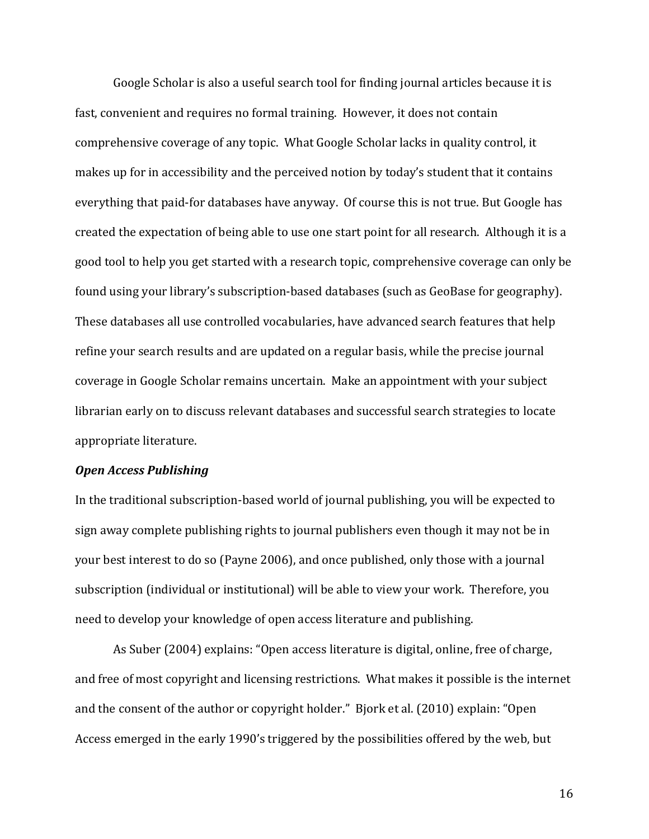Google Scholar is also a useful search tool for finding journal articles because it is fast, convenient and requires no formal training. However, it does not contain comprehensive coverage of any topic. What Google Scholar lacks in quality control, it makes up for in accessibility and the perceived notion by today's student that it contains everything that paid-for databases have anyway. Of course this is not true. But Google has created the expectation of being able to use one start point for all research. Although it is a good tool to help you get started with a research topic, comprehensive coverage can only be found using your library's subscription-based databases (such as GeoBase for geography). These databases all use controlled vocabularies, have advanced search features that help refine your search results and are updated on a regular basis, while the precise journal coverage in Google Scholar remains uncertain. Make an appointment with your subject librarian early on to discuss relevant databases and successful search strategies to locate appropriate literature.

#### *Open Access Publishing*

In the traditional subscription-based world of journal publishing, you will be expected to sign away complete publishing rights to journal publishers even though it may not be in your best interest to do so (Payne 2006), and once published, only those with a journal subscription (individual or institutional) will be able to view your work. Therefore, you need to develop your knowledge of open access literature and publishing.

As Suber (2004) explains: "Open access literature is digital, online, free of charge, and free of most copyright and licensing restrictions. What makes it possible is the internet and the consent of the author or copyright holder." Bjork et al. (2010) explain: "Open Access emerged in the early 1990's triggered by the possibilities offered by the web, but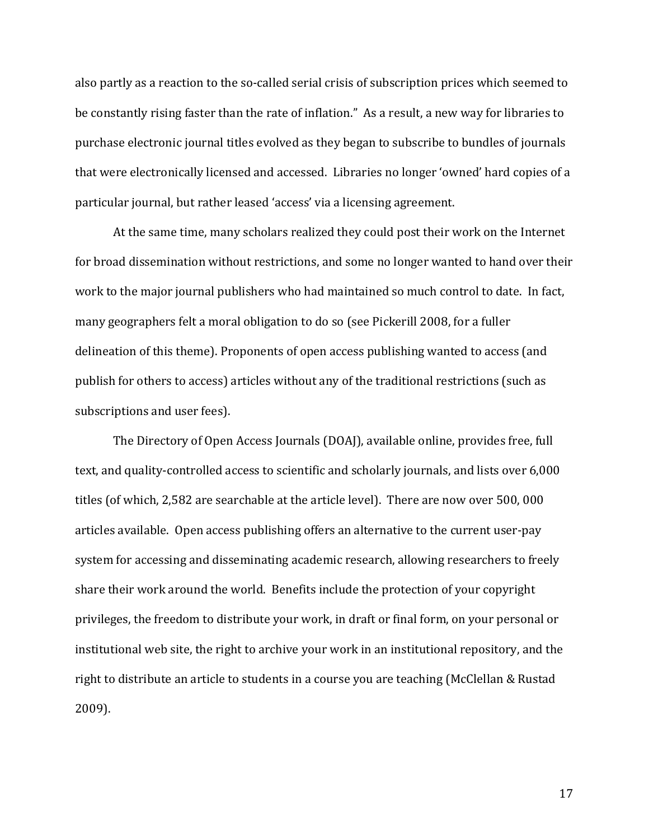also partly as a reaction to the so-called serial crisis of subscription prices which seemed to be constantly rising faster than the rate of inflation." As a result, a new way for libraries to purchase electronic journal titles evolved as they began to subscribe to bundles of journals that were electronically licensed and accessed. Libraries no longer 'owned' hard copies of a particular journal, but rather leased 'access' via a licensing agreement.

At the same time, many scholars realized they could post their work on the Internet for broad dissemination without restrictions, and some no longer wanted to hand over their work to the major journal publishers who had maintained so much control to date. In fact, many geographers felt a moral obligation to do so (see Pickerill 2008, for a fuller delineation of this theme). Proponents of open access publishing wanted to access (and publish for others to access) articles without any of the traditional restrictions (such as subscriptions and user fees).

The Directory of Open Access Journals (DOAJ), available online, provides free, full text, and quality-controlled access to scientific and scholarly journals, and lists over 6,000 titles (of which, 2,582 are searchable at the article level). There are now over 500, 000 articles available. Open access publishing offers an alternative to the current user-pay system for accessing and disseminating academic research, allowing researchers to freely share their work around the world. Benefits include the protection of your copyright privileges, the freedom to distribute your work, in draft or final form, on your personal or institutional web site, the right to archive your work in an institutional repository, and the right to distribute an article to students in a course you are teaching (McClellan & Rustad 2009).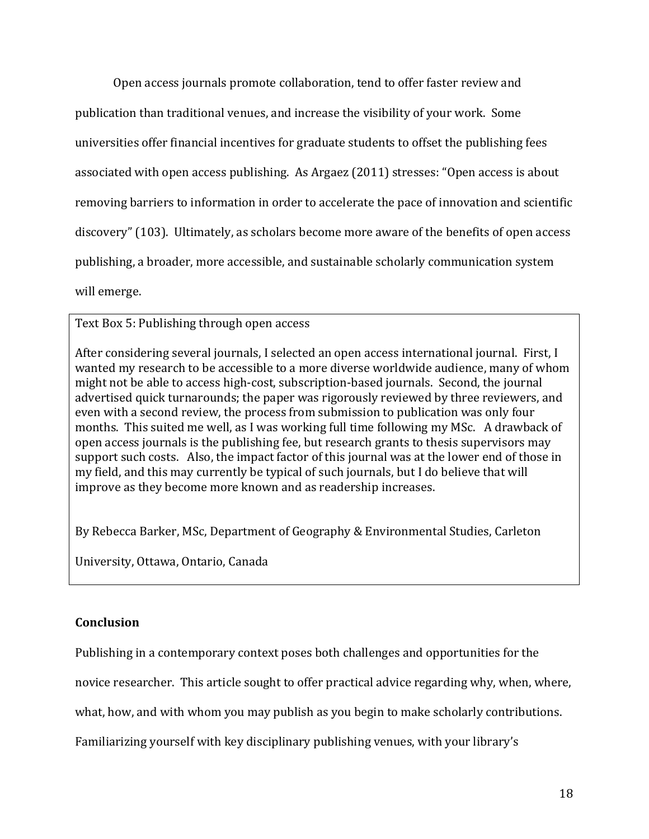Open access journals promote collaboration, tend to offer faster review and publication than traditional venues, and increase the visibility of your work. Some universities offer financial incentives for graduate students to offset the publishing fees associated with open access publishing. As Argaez (2011) stresses: "Open access is about removing barriers to information in order to accelerate the pace of innovation and scientific discovery" (103). Ultimately, as scholars become more aware of the benefits of open access publishing, a broader, more accessible, and sustainable scholarly communication system will emerge.

## Text Box 5: Publishing through open access

After considering several journals, I selected an open access international journal. First, I wanted my research to be accessible to a more diverse worldwide audience, many of whom might not be able to access high-cost, subscription-based journals. Second, the journal advertised quick turnarounds; the paper was rigorously reviewed by three reviewers, and even with a second review, the process from submission to publication was only four months. This suited me well, as I was working full time following my MSc. A drawback of open access journals is the publishing fee, but research grants to thesis supervisors may support such costs. Also, the impact factor of this journal was at the lower end of those in my field, and this may currently be typical of such journals, but I do believe that will improve as they become more known and as readership increases.

By Rebecca Barker, MSc, Department of Geography & Environmental Studies, Carleton

University, Ottawa, Ontario, Canada

# **Conclusion**

Publishing in a contemporary context poses both challenges and opportunities for the

novice researcher. This article sought to offer practical advice regarding why, when, where,

what, how, and with whom you may publish as you begin to make scholarly contributions.

Familiarizing yourself with key disciplinary publishing venues, with your library's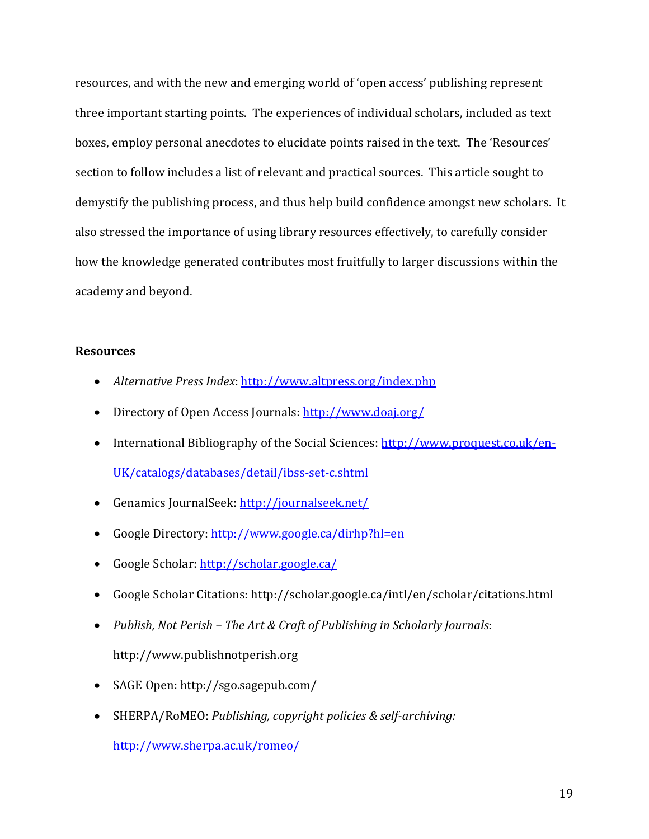resources, and with the new and emerging world of 'open access' publishing represent three important starting points. The experiences of individual scholars, included as text boxes, employ personal anecdotes to elucidate points raised in the text. The 'Resources' section to follow includes a list of relevant and practical sources. This article sought to demystify the publishing process, and thus help build confidence amongst new scholars. It also stressed the importance of using library resources effectively, to carefully consider how the knowledge generated contributes most fruitfully to larger discussions within the academy and beyond.

### **Resources**

- *Alternative Press Index*[: http://www.altpress.org/index.php](http://www.altpress.org/index.php)
- Directory of Open Access Journals:<http://www.doaj.org/>
- International Bibliography of the Social Sciences: [http://www.proquest.co.uk/en-](http://www.proquest.co.uk/en-UK/catalogs/databases/detail/ibss-set-c.shtml)[UK/catalogs/databases/detail/ibss-set-c.shtml](http://www.proquest.co.uk/en-UK/catalogs/databases/detail/ibss-set-c.shtml)
- Genamics JournalSeek:<http://journalseek.net/>
- Google Directory:<http://www.google.ca/dirhp?hl=en>
- Google Scholar:<http://scholar.google.ca/>
- Google Scholar Citations: http://scholar.google.ca/intl/en/scholar/citations.html
- *Publish, Not Perish – The Art & Craft of Publishing in Scholarly Journals*: http://www.publishnotperish.org
- SAGE Open: http://sgo.sagepub.com/
- SHERPA/RoMEO: *Publishing, copyright policies & self-archiving:*  <http://www.sherpa.ac.uk/romeo/>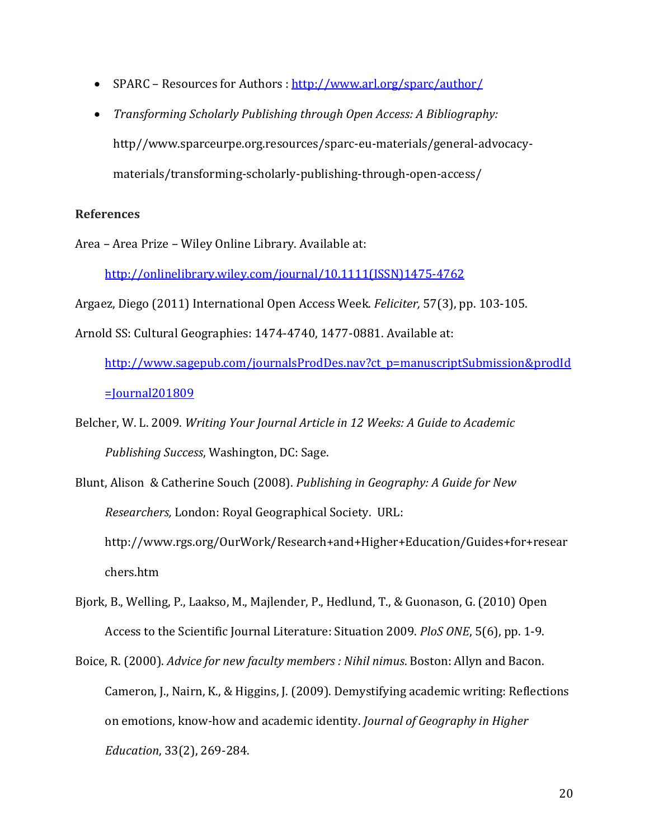- SPARC Resources for Authors :<http://www.arl.org/sparc/author/>
- *Transforming Scholarly Publishing through Open Access: A Bibliography:* http//www.sparceurpe.org.resources/sparc-eu-materials/general-advocacymaterials/transforming-scholarly-publishing-through-open-access/

### **References**

Area – Area Prize – Wiley Online Library. Available at:

[http://onlinelibrary.wiley.com/journal/10.1111\(ISSN\)1475-4762](http://onlinelibrary.wiley.com/journal/10.1111(ISSN)1475-4762)

Argaez, Diego (2011) International Open Access Week. *Feliciter,* 57(3), pp. 103-105.

Arnold SS: Cultural Geographies: 1474-4740, 1477-0881. Available at:

[http://www.sagepub.com/journalsProdDes.nav?ct\\_p=manuscriptSubmission&prodId](http://www.sagepub.com/journalsProdDes.nav?ct_p=manuscriptSubmission&prodId=Journal201809) [=Journal201809](http://www.sagepub.com/journalsProdDes.nav?ct_p=manuscriptSubmission&prodId=Journal201809)

- Belcher, W. L. 2009. *Writing Your Journal Article in 12 Weeks: A Guide to Academic Publishing Success*, Washington, DC: Sage.
- Blunt, Alison & Catherine Souch (2008). *Publishing in Geography: A Guide for New Researchers,* London: Royal Geographical Society. URL: http://www.rgs.org/OurWork/Research+and+Higher+Education/Guides+for+resear chers.htm
- Bjork, B., Welling, P., Laakso, M., Majlender, P., Hedlund, T., & Guonason, G. (2010) Open Access to the Scientific Journal Literature: Situation 2009. *PloS ONE*, 5(6), pp. 1-9.
- Boice, R. (2000). *Advice for new faculty members : Nihil nimus*. Boston: Allyn and Bacon. Cameron, J., Nairn, K., & Higgins, J. (2009). Demystifying academic writing: Reflections on emotions, know-how and academic identity. *Journal of Geography in Higher Education*, 33(2), 269-284.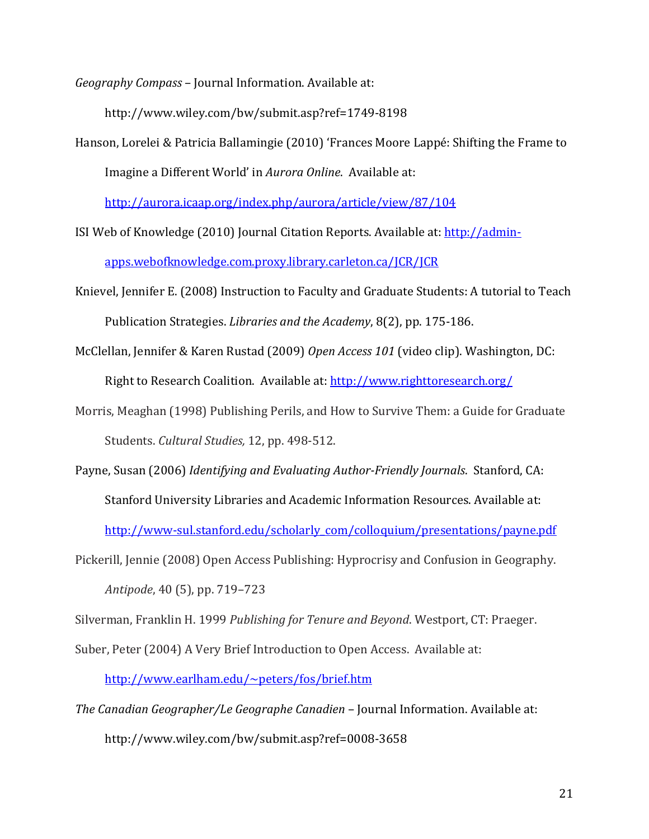*Geography Compass* – Journal Information. Available at:

http://www.wiley.com/bw/submit.asp?ref=1749-8198

Hanson, Lorelei & Patricia Ballamingie (2010) 'Frances Moore Lappé: Shifting the Frame to Imagine a Different World' in *Aurora Online*. Available at:

<http://aurora.icaap.org/index.php/aurora/article/view/87/104>

ISI Web of Knowledge (2010) Journal Citation Reports. Available at: [http://admin](http://admin-apps.webofknowledge.com.proxy.library.carleton.ca/JCR/JCR)[apps.webofknowledge.com.proxy.library.carleton.ca/JCR/JCR](http://admin-apps.webofknowledge.com.proxy.library.carleton.ca/JCR/JCR)

- Knievel, Jennifer E. (2008) Instruction to Faculty and Graduate Students: A tutorial to Teach Publication Strategies. *Libraries and the Academy*, 8(2), pp. 175-186.
- McClellan, Jennifer & Karen Rustad (2009) *Open Access 101* (video clip). Washington, DC: Right to Research Coalition. Available at: <http://www.righttoresearch.org/>
- Morris, Meaghan (1998) Publishing Perils, and How to Survive Them: a Guide for Graduate Students. *Cultural Studies,* 12, pp. 498-512.
- Payne, Susan (2006) *Identifying and Evaluating Author-Friendly Journals*.Stanford, CA: Stanford University Libraries and Academic Information Resources. Available at: [http://www-sul.stanford.edu/scholarly\\_com/colloquium/presentations/payne.pdf](http://www-sul.stanford.edu/scholarly_com/colloquium/presentations/payne.pdf)
- Pickerill, Jennie (2008) Open Access Publishing: Hyprocrisy and Confusion in Geography. *Antipode*, 40 (5), pp. 719–723

Silverman, Franklin H. 1999 *Publishing for Tenure and Beyond*. Westport, CT: Praeger.

Suber, Peter (2004) A Very Brief Introduction to Open Access. Available at:

<http://www.earlham.edu/~peters/fos/brief.htm>

*The Canadian Geographer/Le Geographe Canadien* – Journal Information. Available at: http://www.wiley.com/bw/submit.asp?ref=0008-3658